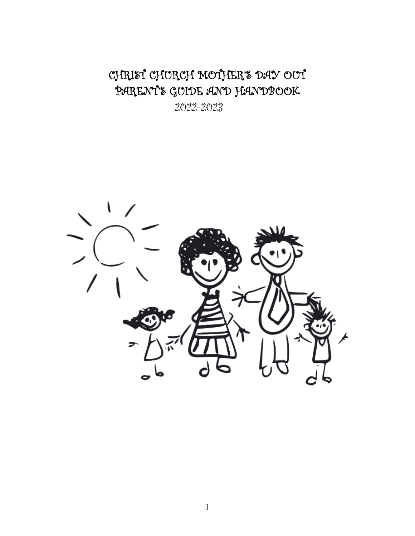CHRIST CHURCH MOTHER'S DAY OUT PARENT'S GUIDE AND HANDBOOK

2022-2023

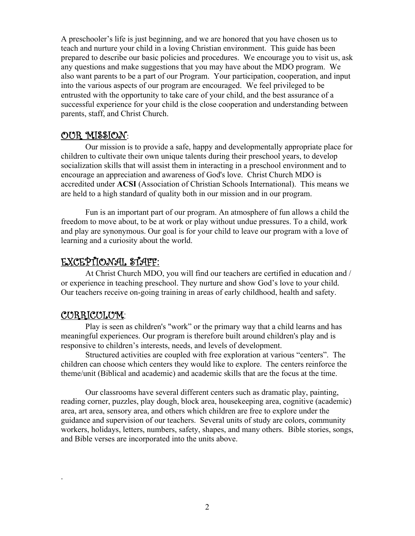A preschooler's life is just beginning, and we are honored that you have chosen us to teach and nurture your child in a loving Christian environment. This guide has been prepared to describe our basic policies and procedures. We encourage you to visit us, ask any questions and make suggestions that you may have about the MDO program. We also want parents to be a part of our Program. Your participation, cooperation, and input into the various aspects of our program are encouraged. We feel privileged to be entrusted with the opportunity to take care of your child, and the best assurance of a successful experience for your child is the close cooperation and understanding between parents, staff, and Christ Church.

#### OUR MISSION:

Our mission is to provide a safe, happy and developmentally appropriate place for children to cultivate their own unique talents during their preschool years, to develop socialization skills that will assist them in interacting in a preschool environment and to encourage an appreciation and awareness of God's love. Christ Church MDO is accredited under **ACSI** (Association of Christian Schools International). This means we are held to a high standard of quality both in our mission and in our program.

Fun is an important part of our program. An atmosphere of fun allows a child the freedom to move about, to be at work or play without undue pressures. To a child, work and play are synonymous. Our goal is for your child to leave our program with a love of learning and a curiosity about the world.

#### EXCEPTIONAL STAFF:

At Christ Church MDO, you will find our teachers are certified in education and / or experience in teaching preschool. They nurture and show God's love to your child. Our teachers receive on-going training in areas of early childhood, health and safety.

### CURRICULUM:

.

Play is seen as children's "work" or the primary way that a child learns and has meaningful experiences. Our program is therefore built around children's play and is responsive to children's interests, needs, and levels of development.

Structured activities are coupled with free exploration at various "centers". The children can choose which centers they would like to explore. The centers reinforce the theme/unit (Biblical and academic) and academic skills that are the focus at the time.

Our classrooms have several different centers such as dramatic play, painting, reading corner, puzzles, play dough, block area, housekeeping area, cognitive (academic) area, art area, sensory area, and others which children are free to explore under the guidance and supervision of our teachers. Several units of study are colors, community workers, holidays, letters, numbers, safety, shapes, and many others. Bible stories, songs, and Bible verses are incorporated into the units above.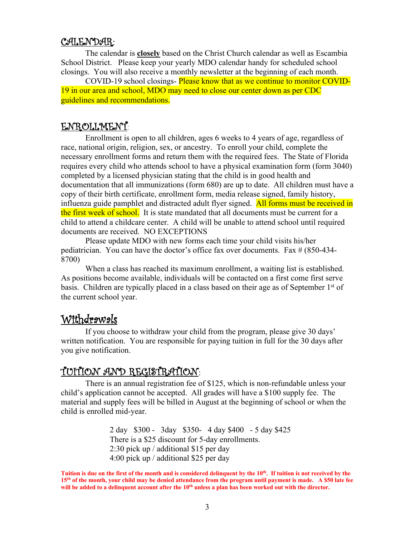#### CALENDAR:

The calendar is **closely** based on the Christ Church calendar as well as Escambia School District. Please keep your yearly MDO calendar handy for scheduled school closings. You will also receive a monthly newsletter at the beginning of each month.

COVID-19 school closings- Please know that as we continue to monitor COVID-19 in our area and school, MDO may need to close our center down as per CDC guidelines and recommendations.

### ENROLLMENT:

Enrollment is open to all children, ages 6 weeks to 4 years of age, regardless of race, national origin, religion, sex, or ancestry. To enroll your child, complete the necessary enrollment forms and return them with the required fees. The State of Florida requires every child who attends school to have a physical examination form (form 3040) completed by a licensed physician stating that the child is in good health and documentation that all immunizations (form 680) are up to date. All children must have a copy of their birth certificate, enrollment form, media release signed, family history, influenza guide pamphlet and distracted adult flyer signed. All forms must be received in the first week of school. It is state mandated that all documents must be current for a child to attend a childcare center. A child will be unable to attend school until required documents are received. NO EXCEPTIONS

Please update MDO with new forms each time your child visits his/her pediatrician. You can have the doctor's office fax over documents. Fax # (850-434- 8700)

When a class has reached its maximum enrollment, a waiting list is established. As positions become available, individuals will be contacted on a first come first serve basis. Children are typically placed in a class based on their age as of September  $1<sup>st</sup>$  of the current school year.

# Withdrawals

 If you choose to withdraw your child from the program, please give 30 days' written notification. You are responsible for paying tuition in full for the 30 days after you give notification.

# TUITION AND REGISTRATION:

There is an annual registration fee of \$125, which is non-refundable unless your child's application cannot be accepted. All grades will have a \$100 supply fee. The material and supply fees will be billed in August at the beginning of school or when the child is enrolled mid-year.

> 2 day \$300 - 3day \$350- 4 day \$400 - 5 day \$425 There is a \$25 discount for 5-day enrollments. 2:30 pick up / additional \$15 per day 4:00 pick up / additional \$25 per day

Tuition is due on the first of the month and is considered delinquent by the 10<sup>th</sup>. If tuition is not received by the **15th of the month, your child may be denied attendance from the program until payment is made. A \$50 late fee**  will be added to a delinquent account after the 10<sup>th</sup> unless a plan has been worked out with the director.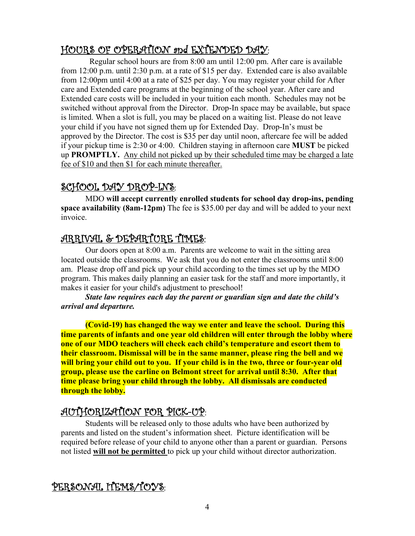# HOURS OF OPERATION and EXTENDED DAY:

 Regular school hours are from 8:00 am until 12:00 pm. After care is available from 12:00 p.m. until 2:30 p.m. at a rate of \$15 per day. Extended care is also available from 12:00pm until 4:00 at a rate of \$25 per day. You may register your child for After care and Extended care programs at the beginning of the school year. After care and Extended care costs will be included in your tuition each month. Schedules may not be switched without approval from the Director. Drop-In space may be available, but space is limited. When a slot is full, you may be placed on a waiting list. Please do not leave your child if you have not signed them up for Extended Day. Drop-In's must be approved by the Director. The cost is \$35 per day until noon, aftercare fee will be added if your pickup time is 2:30 or 4:00. Children staying in afternoon care **MUST** be picked up **PROMPTLY.** Any child not picked up by their scheduled time may be charged a late fee of \$10 and then \$1 for each minute thereafter.

# SCHOOL DAY DROP-INS:

MDO **will accept currently enrolled students for school day drop-ins, pending space availability (8am-12pm)** The fee is \$35.00 per day and will be added to your next invoice.

# ARRIVAL & DEPARTURE TIMES:

Our doors open at 8:00 a.m. Parents are welcome to wait in the sitting area located outside the classrooms. We ask that you do not enter the classrooms until 8:00 am. Please drop off and pick up your child according to the times set up by the MDO program. This makes daily planning an easier task for the staff and more importantly, it makes it easier for your child's adjustment to preschool!

*State law requires each day the parent or guardian sign and date the child's arrival and departure.*

**(Covid-19) has changed the way we enter and leave the school. During this time parents of infants and one year old children will enter through the lobby where one of our MDO teachers will check each child's temperature and escort them to their classroom. Dismissal will be in the same manner, please ring the bell and we will bring your child out to you. If your child is in the two, three or four-year old group, please use the carline on Belmont street for arrival until 8:30. After that time please bring your child through the lobby. All dismissals are conducted through the lobby.**

# AUTHORIZATION FOR PICK-UP:

Students will be released only to those adults who have been authorized by parents and listed on the student's information sheet. Picture identification will be required before release of your child to anyone other than a parent or guardian. Persons not listed **will not be permitted** to pick up your child without director authorization.

PERSONAL ITEMS/TOYS: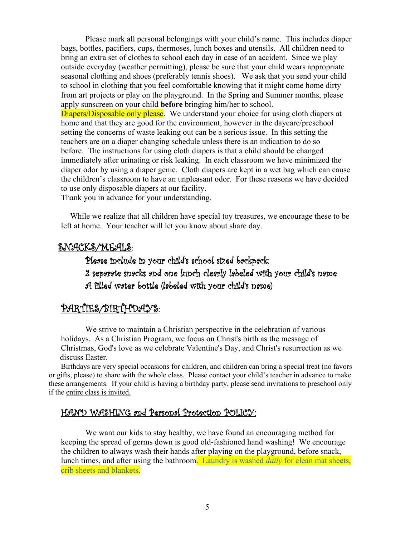Please mark all personal belongings with your child's name. This includes diaper bags, bottles, pacifiers, cups, thermoses, lunch boxes and utensils. All children need to bring an extra set of clothes to school each day in case of an accident. Since we play outside everyday (weather permitting), please be sure that your child wears appropriate seasonal clothing and shoes (preferably tennis shoes). We ask that you send your child to school in clothing that you feel comfortable knowing that it might come home dirty from art projects or play on the playground. In the Spring and Summer months, please apply sunscreen on your child **before** bringing him/her to school. Diapers/Disposable only please. We understand your choice for using cloth diapers at home and that they are good for the environment, however in the daycare/preschool setting the concerns of waste leaking out can be a serious issue. In this setting the teachers are on a diaper changing schedule unless there is an indication to do so before. The instructions for using cloth diapers is that a child should be changed immediately after urinating or risk leaking. In each classroom we have minimized the diaper odor by using a diaper genie. Cloth diapers are kept in a wet bag which can cause the children's classroom to have an unpleasant odor. For these reasons we have decided to use only disposable diapers at our facility.

Thank you in advance for your understanding.

While we realize that all children have special toy treasures, we encourage these to be left at home. Your teacher will let you know about share day.

#### SNACKS/MEALS:

## Please include in your child's school sized backpack: 2 separate snacks and one lunch clearly labeled with your child's name A filled water bottle (labeled with your child's name)

#### PARTIES/BIRTHDAYS:

We strive to maintain a Christian perspective in the celebration of various holidays. As a Christian Program, we focus on Christ's birth as the message of Christmas, God's love as we celebrate Valentine's Day, and Christ's resurrection as we discuss Easter.

Birthdays are very special occasions for children, and children can bring a special treat (no favors or gifts, please) to share with the whole class. Please contact your child's teacher in advance to make these arrangements. If your child is having a birthday party, please send invitations to preschool only if the entire class is invited.

#### HAND WASHING and Personal Protection POLICY:

We want our kids to stay healthy, we have found an encouraging method for keeping the spread of germs down is good old-fashioned hand washing! We encourage the children to always wash their hands after playing on the playground, before snack, lunch times, and after using the bathroom. Laundry is washed *daily* for clean mat sheets, crib sheets and blankets.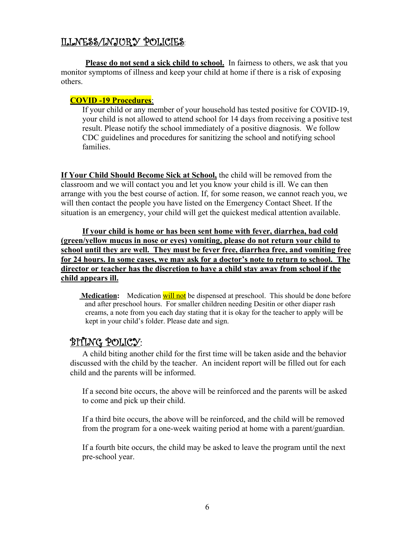## ILLNESS/INJURY POLICIES:

Please do not send a sick child to school. In fairness to others, we ask that you monitor symptoms of illness and keep your child at home if there is a risk of exposing others.

#### **COVID -19 Procedures**:

If your child or any member of your household has tested positive for COVID-19, your child is not allowed to attend school for 14 days from receiving a positive test result. Please notify the school immediately of a positive diagnosis. We follow CDC guidelines and procedures for sanitizing the school and notifying school families.

**If Your Child Should Become Sick at School,** the child will be removed from the classroom and we will contact you and let you know your child is ill. We can then arrange with you the best course of action. If, for some reason, we cannot reach you, we will then contact the people you have listed on the Emergency Contact Sheet. If the situation is an emergency, your child will get the quickest medical attention available.

**If your child is home or has been sent home with fever, diarrhea, bad cold (green/yellow mucus in nose or eyes) vomiting, please do not return your child to school until they are well. They must be fever free, diarrhea free, and vomiting free for 24 hours. In some cases, we may ask for a doctor's note to return to school. The director or teacher has the discretion to have a child stay away from school if the child appears ill.** 

**Medication:** Medication will not be dispensed at preschool. This should be done before and after preschool hours. For smaller children needing Desitin or other diaper rash creams, a note from you each day stating that it is okay for the teacher to apply will be kept in your child's folder. Please date and sign.

### BITING POLICY:

A child biting another child for the first time will be taken aside and the behavior discussed with the child by the teacher. An incident report will be filled out for each child and the parents will be informed.

If a second bite occurs, the above will be reinforced and the parents will be asked to come and pick up their child.

If a third bite occurs, the above will be reinforced, and the child will be removed from the program for a one-week waiting period at home with a parent/guardian.

If a fourth bite occurs, the child may be asked to leave the program until the next pre-school year.